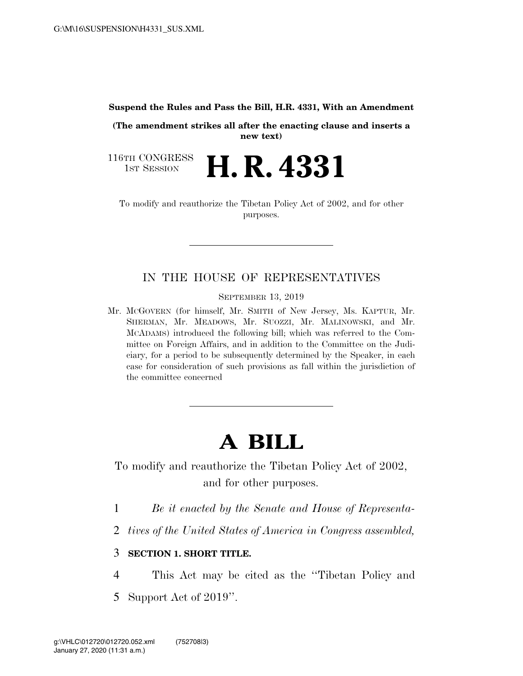#### **Suspend the Rules and Pass the Bill, H.R. 4331, With an Amendment**

**(The amendment strikes all after the enacting clause and inserts a new text)** 

116TH CONGRESS<br>1st Session **H. R. 4331** 

To modify and reauthorize the Tibetan Policy Act of 2002, and for other purposes.

# IN THE HOUSE OF REPRESENTATIVES

SEPTEMBER 13, 2019

Mr. MCGOVERN (for himself, Mr. SMITH of New Jersey, Ms. KAPTUR, Mr. SHERMAN, Mr. MEADOWS, Mr. SUOZZI, Mr. MALINOWSKI, and Mr. MCADAMS) introduced the following bill; which was referred to the Committee on Foreign Affairs, and in addition to the Committee on the Judiciary, for a period to be subsequently determined by the Speaker, in each case for consideration of such provisions as fall within the jurisdiction of the committee concerned

# **A BILL**

To modify and reauthorize the Tibetan Policy Act of 2002, and for other purposes.

- 1 *Be it enacted by the Senate and House of Representa-*
- 2 *tives of the United States of America in Congress assembled,*

### 3 **SECTION 1. SHORT TITLE.**

- 4 This Act may be cited as the ''Tibetan Policy and
- 5 Support Act of 2019''.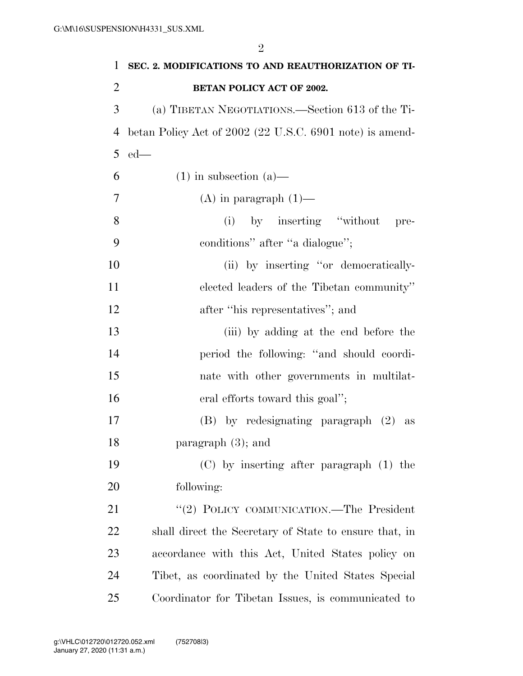| 1              | SEC. 2. MODIFICATIONS TO AND REAUTHORIZATION OF TI-      |
|----------------|----------------------------------------------------------|
| $\overline{2}$ | <b>BETAN POLICY ACT OF 2002.</b>                         |
| 3              | (a) TIBETAN NEGOTIATIONS.—Section 613 of the Ti-         |
| 4              | betan Policy Act of 2002 (22 U.S.C. 6901 note) is amend- |
| 5              | $ed$ —                                                   |
| 6              | $(1)$ in subsection $(a)$ —                              |
| 7              | $(A)$ in paragraph $(1)$ —                               |
| 8              | (i) by inserting "without<br>pre-                        |
| 9              | conditions" after "a dialogue";                          |
| 10             | (ii) by inserting "or democratically-                    |
| 11             | elected leaders of the Tibetan community"                |
| 12             | after "his representatives"; and                         |
| 13             | (iii) by adding at the end before the                    |
| 14             | period the following: "and should coordi-                |
| 15             | nate with other governments in multilat-                 |
| 16             | eral efforts toward this goal";                          |
| 17             | $(B)$ by redesignating paragraph $(2)$ as                |
| 18             | paragraph $(3)$ ; and                                    |
| 19             | $(C)$ by inserting after paragraph $(1)$ the             |
| 20             | following:                                               |
| 21             | "(2) POLICY COMMUNICATION.—The President                 |
| 22             | shall direct the Secretary of State to ensure that, in   |
| 23             | accordance with this Act, United States policy on        |
| 24             | Tibet, as coordinated by the United States Special       |
| 25             | Coordinator for Tibetan Issues, is communicated to       |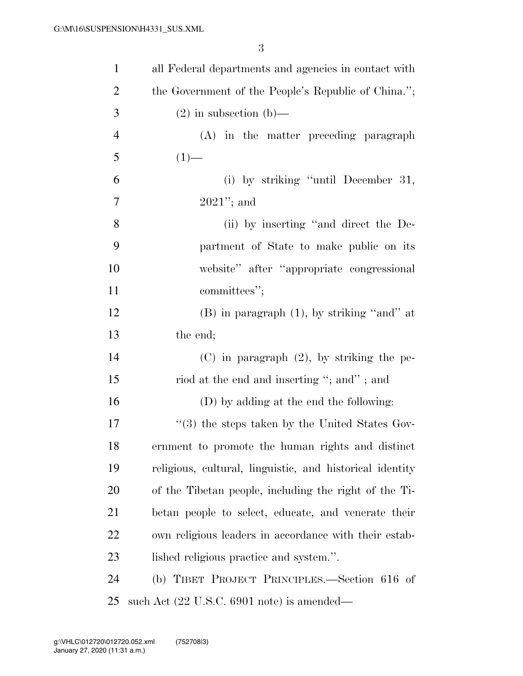| $\mathbf{1}$   | all Federal departments and agencies in contact with       |
|----------------|------------------------------------------------------------|
| $\overline{2}$ | the Government of the People's Republic of China.";        |
| 3              | $(2)$ in subsection (b)—                                   |
| $\overline{4}$ | (A) in the matter preceding paragraph                      |
| 5              | $(1)$ —                                                    |
| 6              | (i) by striking "until December 31,                        |
| 7              | $2021$ "; and                                              |
| 8              | (ii) by inserting "and direct the De-                      |
| 9              | partment of State to make public on its                    |
| 10             | website" after "appropriate congressional                  |
| 11             | committees";                                               |
| 12             | (B) in paragraph (1), by striking "and" at                 |
| 13             | the end;                                                   |
| 14             | $(C)$ in paragraph $(2)$ , by striking the pe-             |
| 15             | riod at the end and inserting "; and"; and                 |
| 16             | (D) by adding at the end the following:                    |
| 17             | $\cdot\cdot$ (3) the steps taken by the United States Gov- |
| 18             | ernment to promote the human rights and distinct           |
| 19             | religious, cultural, linguistic, and historical identity   |
| 20             | of the Tibetan people, including the right of the Ti-      |
| 21             | betan people to select, educate, and venerate their        |
| 22             | own religious leaders in accordance with their estab-      |
| 23             | lished religious practice and system.".                    |
| 24             | (b) TIBET PROJECT PRINCIPLES.—Section 616 of               |
| 25             | such Act (22 U.S.C. 6901 note) is amended—                 |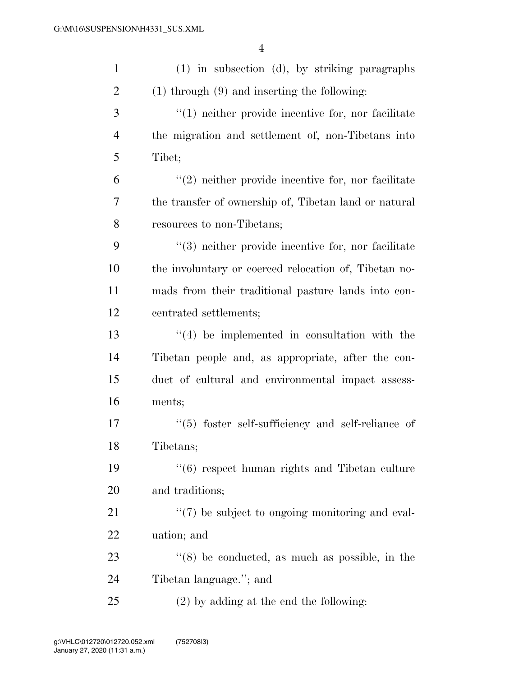| $\mathbf{1}$   | (1) in subsection (d), by striking paragraphs             |
|----------------|-----------------------------------------------------------|
| $\overline{2}$ | $(1)$ through $(9)$ and inserting the following:          |
| 3              | $"(1)$ neither provide incentive for, nor facilitate      |
| $\overline{4}$ | the migration and settlement of, non-Tibetans into        |
| 5              | Tibet;                                                    |
| 6              | $\lq(2)$ neither provide incentive for, nor facilitate    |
| 7              | the transfer of ownership of, Tibetan land or natural     |
| 8              | resources to non-Tibetans;                                |
| 9              | $(3)$ neither provide incentive for, nor facilitate       |
| 10             | the involuntary or coerced relocation of, Tibetan no-     |
| 11             | mads from their traditional pasture lands into con-       |
| 12             | centrated settlements;                                    |
| 13             | $\lq(4)$ be implemented in consultation with the          |
| 14             | Tibetan people and, as appropriate, after the con-        |
| 15             | duct of cultural and environmental impact assess-         |
| 16             | ments;                                                    |
| 17             | $(5)$ foster self-sufficiency and self-reliance of        |
| 18             | Tibetans;                                                 |
| 19             | $\cdot\cdot$ (6) respect human rights and Tibetan culture |
| 20             | and traditions;                                           |
| 21             | $\lq(7)$ be subject to ongoing monitoring and eval-       |
| 22             | uation; and                                               |
| 23             | $\cdot$ (8) be conducted, as much as possible, in the     |
| 24             | Tibetan language."; and                                   |
| 25             | $(2)$ by adding at the end the following:                 |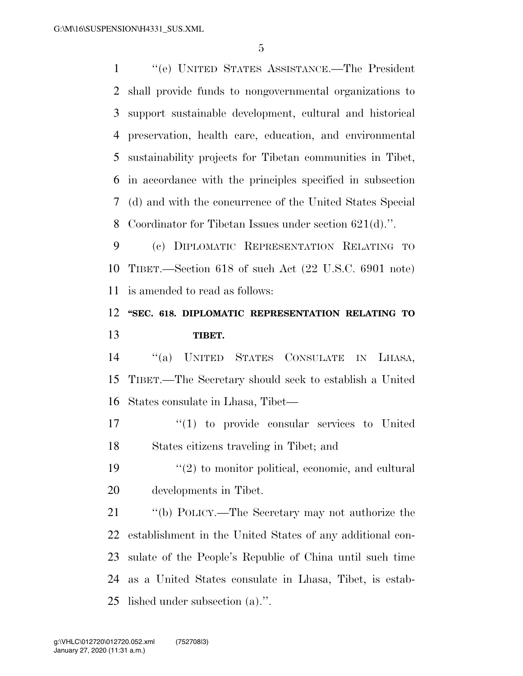''(e) UNITED STATES ASSISTANCE.—The President shall provide funds to nongovernmental organizations to support sustainable development, cultural and historical preservation, health care, education, and environmental sustainability projects for Tibetan communities in Tibet, in accordance with the principles specified in subsection (d) and with the concurrence of the United States Special Coordinator for Tibetan Issues under section 621(d).''.

 (c) DIPLOMATIC REPRESENTATION RELATING TO TIBET.—Section 618 of such Act (22 U.S.C. 6901 note) is amended to read as follows:

# **''SEC. 618. DIPLOMATIC REPRESENTATION RELATING TO TIBET.**

 ''(a) UNITED STATES CONSULATE IN LHASA, TIBET.—The Secretary should seek to establish a United States consulate in Lhasa, Tibet—

17  $\frac{17}{2}$  to provide consular services to United States citizens traveling in Tibet; and

19  $\frac{1}{2}$  to monitor political, economic, and cultural developments in Tibet.

 ''(b) POLICY.—The Secretary may not authorize the establishment in the United States of any additional con- sulate of the People's Republic of China until such time as a United States consulate in Lhasa, Tibet, is estab-lished under subsection (a).''.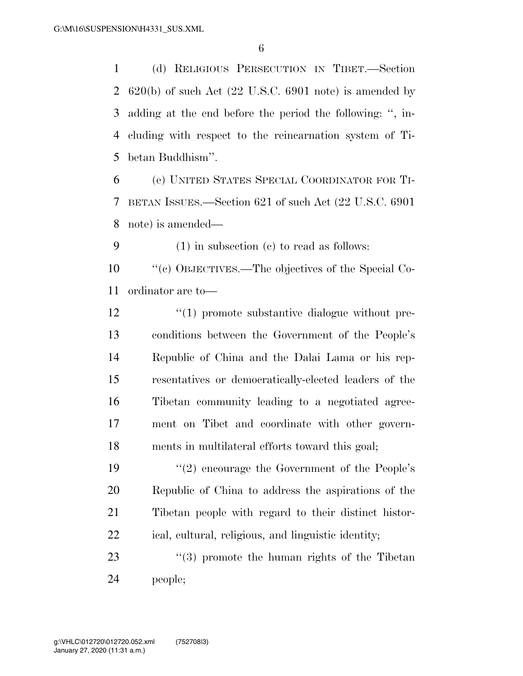(d) RELIGIOUS PERSECUTION IN TIBET.—Section  $620(b)$  of such Act  $(22 \text{ U.S.C. } 6901 \text{ note})$  is amended by adding at the end before the period the following: '', in- cluding with respect to the reincarnation system of Ti-betan Buddhism''.

 (e) UNITED STATES SPECIAL COORDINATOR FOR TI- BETAN ISSUES.—Section 621 of such Act (22 U.S.C. 6901 note) is amended—

(1) in subsection (c) to read as follows:

 ''(c) OBJECTIVES.—The objectives of the Special Co-ordinator are to—

 $\frac{1}{2}$  (1) promote substantive dialogue without pre- conditions between the Government of the People's Republic of China and the Dalai Lama or his rep- resentatives or democratically-elected leaders of the Tibetan community leading to a negotiated agree- ment on Tibet and coordinate with other govern-ments in multilateral efforts toward this goal;

19 ''(2) encourage the Government of the People's Republic of China to address the aspirations of the Tibetan people with regard to their distinct histor-ical, cultural, religious, and linguistic identity;

23  $(3)$  promote the human rights of the Tibetan people;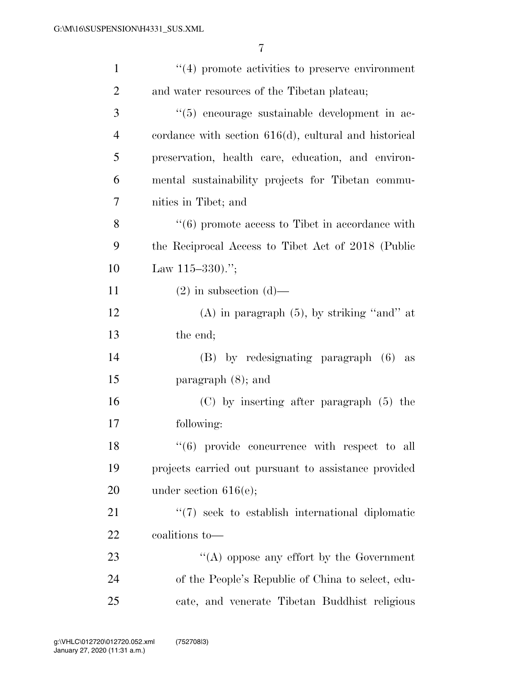| $\mathbf{1}$   | $\lq(4)$ promote activities to preserve environment      |
|----------------|----------------------------------------------------------|
| $\overline{2}$ | and water resources of the Tibetan plateau;              |
| 3              | "(5) encourage sustainable development in ac-            |
| $\overline{4}$ | cordance with section $616(d)$ , cultural and historical |
| 5              | preservation, health care, education, and environ-       |
| 6              | mental sustainability projects for Tibetan commu-        |
| 7              | nities in Tibet; and                                     |
| 8              | $``(6)$ promote access to Tibet in accordance with       |
| 9              | the Reciprocal Access to Tibet Act of 2018 (Public       |
| 10             | Law $115-330$ .";                                        |
| 11             | $(2)$ in subsection $(d)$ —                              |
| 12             | $(A)$ in paragraph $(5)$ , by striking "and" at          |
| 13             | the end;                                                 |
| 14             | (B) by redesignating paragraph (6)<br>as                 |
| 15             | paragraph $(8)$ ; and                                    |
| 16             | $(C)$ by inserting after paragraph $(5)$ the             |
| 17             | following:                                               |
| 18             | $``(6)$ provide concurrence with respect to all          |
| 19             | projects carried out pursuant to assistance provided     |
| 20             | under section $616(e)$ ;                                 |
| 21             | "(7) seek to establish international diplomatic          |
| 22             | coalitions to-                                           |
| 23             | "(A) oppose any effort by the Government                 |
| 24             | of the People's Republic of China to select, edu-        |
| 25             | cate, and venerate Tibetan Buddhist religious            |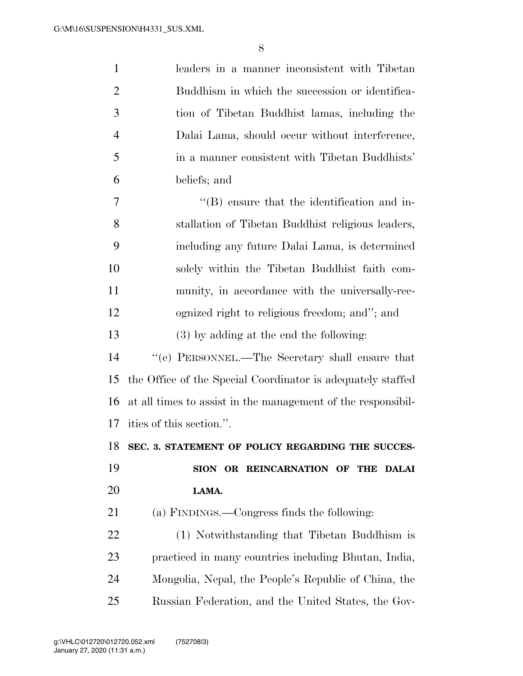| $\mathbf{1}$   | leaders in a manner inconsistent with Tibetan                |
|----------------|--------------------------------------------------------------|
| $\overline{2}$ | Buddhism in which the succession or identifica-              |
| 3              | tion of Tibetan Buddhist lamas, including the                |
| $\overline{4}$ | Dalai Lama, should occur without interference,               |
| 5              | in a manner consistent with Tibetan Buddhists'               |
| 6              | beliefs; and                                                 |
| 7              | $\lq\lq$ ensure that the identification and in-              |
| 8              | stallation of Tibetan Buddhist religious leaders,            |
| 9              | including any future Dalai Lama, is determined               |
| 10             | solely within the Tibetan Buddhist faith com-                |
| 11             | munity, in accordance with the universally-rec-              |
| 12             | ognized right to religious freedom; and"; and                |
| 13             | $(3)$ by adding at the end the following:                    |
| 14             | "(e) PERSONNEL.—The Secretary shall ensure that              |
| 15             | the Office of the Special Coordinator is adequately staffed  |
| 16             | at all times to assist in the management of the responsibil- |
| 17             | ities of this section.".                                     |
| 18             | SEC. 3. STATEMENT OF POLICY REGARDING THE SUCCES-            |
| 19             | SION OR REINCARNATION OF THE DALAI                           |
| 20             | LAMA.                                                        |
| 21             | (a) FINDINGS.—Congress finds the following:                  |
| 22             | (1) Notwithstanding that Tibetan Buddhism is                 |
| 23             | practiced in many countries including Bhutan, India,         |
| 24             | Mongolia, Nepal, the People's Republic of China, the         |
| 25             | Russian Federation, and the United States, the Gov-          |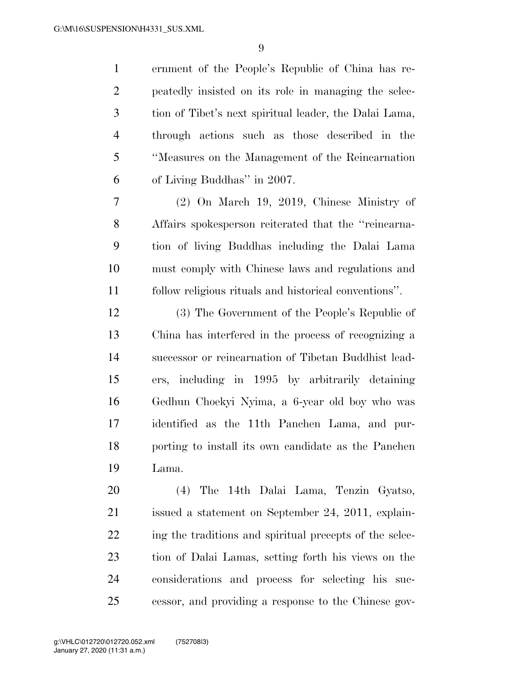ernment of the People's Republic of China has re- peatedly insisted on its role in managing the selec- tion of Tibet's next spiritual leader, the Dalai Lama, through actions such as those described in the ''Measures on the Management of the Reincarnation of Living Buddhas'' in 2007.

 (2) On March 19, 2019, Chinese Ministry of Affairs spokesperson reiterated that the ''reincarna- tion of living Buddhas including the Dalai Lama must comply with Chinese laws and regulations and follow religious rituals and historical conventions''.

 (3) The Government of the People's Republic of China has interfered in the process of recognizing a successor or reincarnation of Tibetan Buddhist lead- ers, including in 1995 by arbitrarily detaining Gedhun Choekyi Nyima, a 6-year old boy who was identified as the 11th Panchen Lama, and pur- porting to install its own candidate as the Panchen Lama.

 (4) The 14th Dalai Lama, Tenzin Gyatso, issued a statement on September 24, 2011, explain-22 ing the traditions and spiritual precepts of the selec- tion of Dalai Lamas, setting forth his views on the considerations and process for selecting his suc-cessor, and providing a response to the Chinese gov-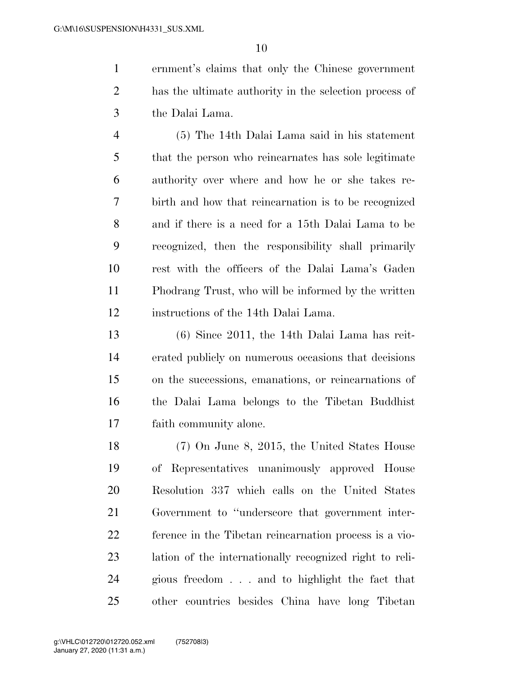ernment's claims that only the Chinese government has the ultimate authority in the selection process of the Dalai Lama.

 (5) The 14th Dalai Lama said in his statement that the person who reincarnates has sole legitimate authority over where and how he or she takes re- birth and how that reincarnation is to be recognized and if there is a need for a 15th Dalai Lama to be recognized, then the responsibility shall primarily rest with the officers of the Dalai Lama's Gaden Phodrang Trust, who will be informed by the written instructions of the 14th Dalai Lama.

 (6) Since 2011, the 14th Dalai Lama has reit- erated publicly on numerous occasions that decisions on the successions, emanations, or reincarnations of the Dalai Lama belongs to the Tibetan Buddhist faith community alone.

 (7) On June 8, 2015, the United States House of Representatives unanimously approved House Resolution 337 which calls on the United States Government to ''underscore that government inter- ference in the Tibetan reincarnation process is a vio- lation of the internationally recognized right to reli- gious freedom . . . and to highlight the fact that other countries besides China have long Tibetan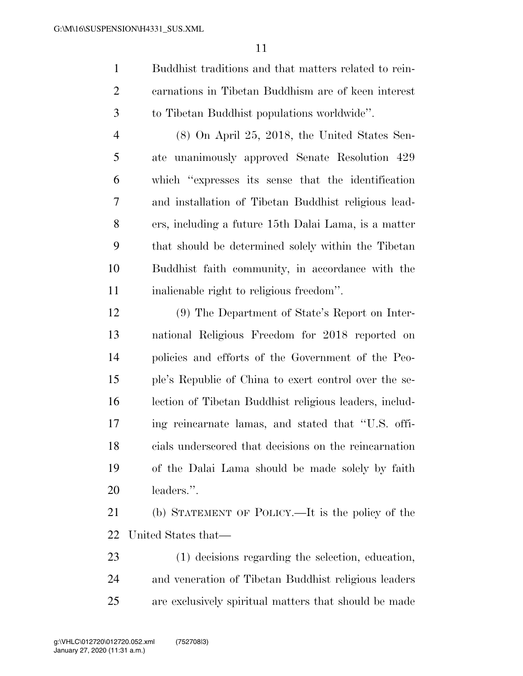Buddhist traditions and that matters related to rein- carnations in Tibetan Buddhism are of keen interest to Tibetan Buddhist populations worldwide''.

 (8) On April 25, 2018, the United States Sen- ate unanimously approved Senate Resolution 429 which ''expresses its sense that the identification and installation of Tibetan Buddhist religious lead- ers, including a future 15th Dalai Lama, is a matter that should be determined solely within the Tibetan Buddhist faith community, in accordance with the inalienable right to religious freedom''.

 (9) The Department of State's Report on Inter- national Religious Freedom for 2018 reported on policies and efforts of the Government of the Peo- ple's Republic of China to exert control over the se- lection of Tibetan Buddhist religious leaders, includ- ing reincarnate lamas, and stated that ''U.S. offi- cials underscored that decisions on the reincarnation of the Dalai Lama should be made solely by faith leaders.''.

 (b) STATEMENT OF POLICY.—It is the policy of the United States that—

 (1) decisions regarding the selection, education, and veneration of Tibetan Buddhist religious leaders are exclusively spiritual matters that should be made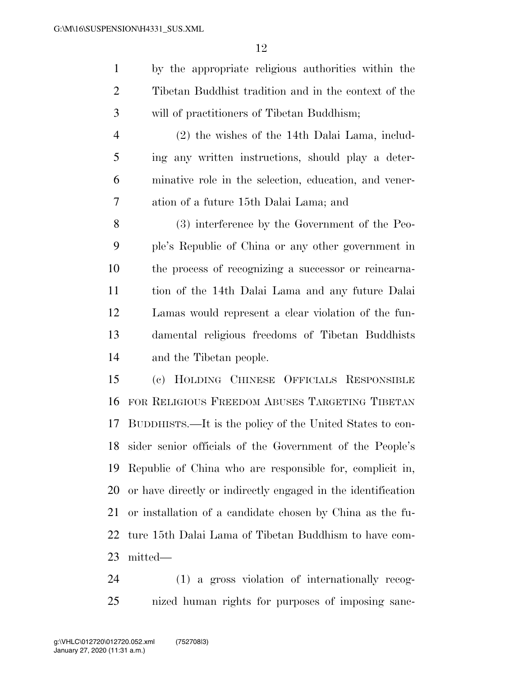by the appropriate religious authorities within the Tibetan Buddhist tradition and in the context of the will of practitioners of Tibetan Buddhism;

 (2) the wishes of the 14th Dalai Lama, includ- ing any written instructions, should play a deter- minative role in the selection, education, and vener-ation of a future 15th Dalai Lama; and

 (3) interference by the Government of the Peo- ple's Republic of China or any other government in the process of recognizing a successor or reincarna- tion of the 14th Dalai Lama and any future Dalai Lamas would represent a clear violation of the fun- damental religious freedoms of Tibetan Buddhists and the Tibetan people.

 (c) HOLDING CHINESE OFFICIALS RESPONSIBLE FOR RELIGIOUS FREEDOM ABUSES TARGETING TIBETAN BUDDHISTS.—It is the policy of the United States to con- sider senior officials of the Government of the People's Republic of China who are responsible for, complicit in, or have directly or indirectly engaged in the identification or installation of a candidate chosen by China as the fu- ture 15th Dalai Lama of Tibetan Buddhism to have com-mitted—

 (1) a gross violation of internationally recog-nized human rights for purposes of imposing sanc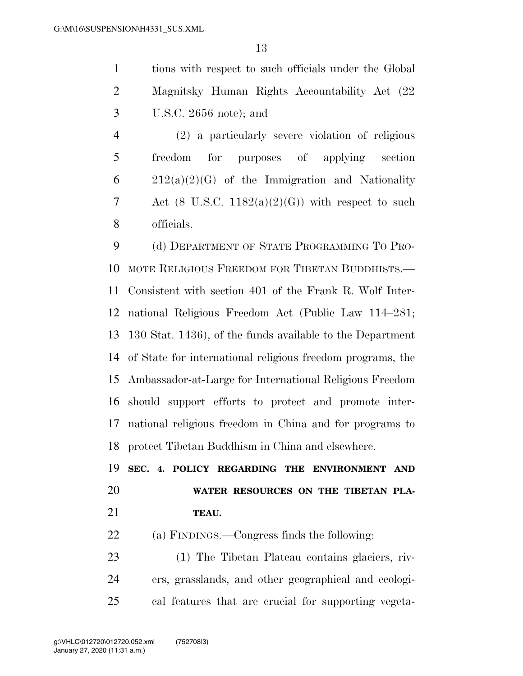tions with respect to such officials under the Global Magnitsky Human Rights Accountability Act (22 U.S.C. 2656 note); and

 (2) a particularly severe violation of religious freedom for purposes of applying section  $6 \qquad 212(a)(2)(G)$  of the Immigration and Nationality 7 Act  $(8 \text{ U.S.C. } 1182(a)(2)(G))$  with respect to such officials.

 (d) DEPARTMENT OF STATE PROGRAMMING TO PRO- MOTE RELIGIOUS FREEDOM FOR TIBETAN BUDDHISTS.— Consistent with section 401 of the Frank R. Wolf Inter- national Religious Freedom Act (Public Law 114–281; 130 Stat. 1436), of the funds available to the Department of State for international religious freedom programs, the Ambassador-at-Large for International Religious Freedom should support efforts to protect and promote inter- national religious freedom in China and for programs to protect Tibetan Buddhism in China and elsewhere.

 **SEC. 4. POLICY REGARDING THE ENVIRONMENT AND WATER RESOURCES ON THE TIBETAN PLA-TEAU.** 

(a) FINDINGS.—Congress finds the following:

 (1) The Tibetan Plateau contains glaciers, riv- ers, grasslands, and other geographical and ecologi-cal features that are crucial for supporting vegeta-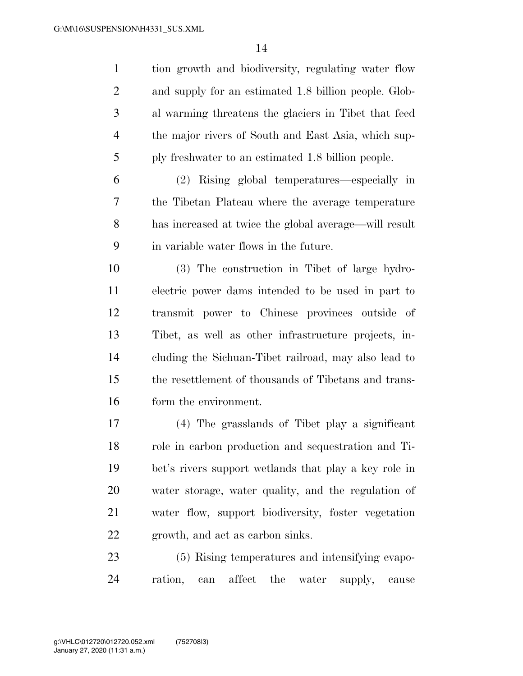tion growth and biodiversity, regulating water flow and supply for an estimated 1.8 billion people. Glob- al warming threatens the glaciers in Tibet that feed the major rivers of South and East Asia, which sup-ply freshwater to an estimated 1.8 billion people.

 (2) Rising global temperatures—especially in the Tibetan Plateau where the average temperature has increased at twice the global average—will result in variable water flows in the future.

 (3) The construction in Tibet of large hydro- electric power dams intended to be used in part to transmit power to Chinese provinces outside of Tibet, as well as other infrastructure projects, in- cluding the Sichuan-Tibet railroad, may also lead to the resettlement of thousands of Tibetans and trans-form the environment.

 (4) The grasslands of Tibet play a significant role in carbon production and sequestration and Ti- bet's rivers support wetlands that play a key role in water storage, water quality, and the regulation of water flow, support biodiversity, foster vegetation growth, and act as carbon sinks.

 (5) Rising temperatures and intensifying evapo-ration, can affect the water supply, cause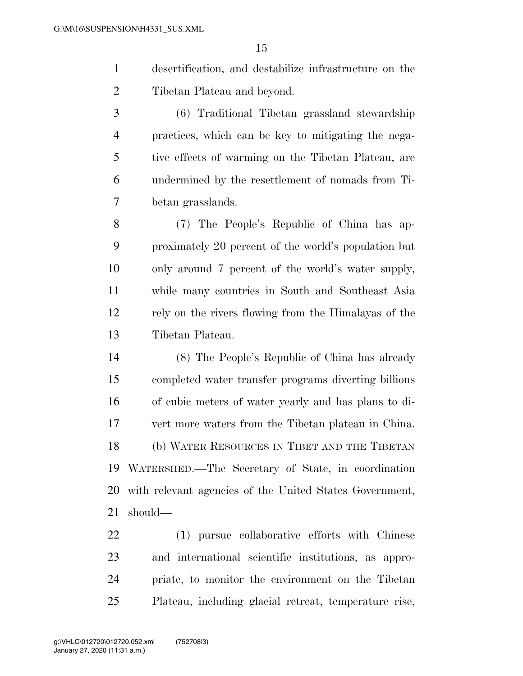- desertification, and destabilize infrastructure on the Tibetan Plateau and beyond.
- (6) Traditional Tibetan grassland stewardship practices, which can be key to mitigating the nega- tive effects of warming on the Tibetan Plateau, are undermined by the resettlement of nomads from Ti-betan grasslands.

 (7) The People's Republic of China has ap- proximately 20 percent of the world's population but only around 7 percent of the world's water supply, while many countries in South and Southeast Asia rely on the rivers flowing from the Himalayas of the Tibetan Plateau.

 (8) The People's Republic of China has already completed water transfer programs diverting billions of cubic meters of water yearly and has plans to di- vert more waters from the Tibetan plateau in China. (b) WATER RESOURCES IN TIBET AND THE TIBETAN WATERSHED.—The Secretary of State, in coordination with relevant agencies of the United States Government, should—

 (1) pursue collaborative efforts with Chinese and international scientific institutions, as appro- priate, to monitor the environment on the Tibetan Plateau, including glacial retreat, temperature rise,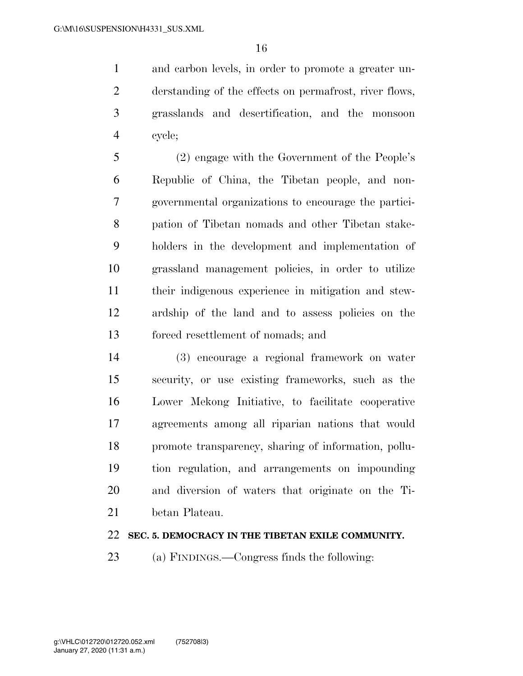and carbon levels, in order to promote a greater un- derstanding of the effects on permafrost, river flows, grasslands and desertification, and the monsoon cycle;

 (2) engage with the Government of the People's Republic of China, the Tibetan people, and non- governmental organizations to encourage the partici- pation of Tibetan nomads and other Tibetan stake- holders in the development and implementation of grassland management policies, in order to utilize their indigenous experience in mitigation and stew- ardship of the land and to assess policies on the forced resettlement of nomads; and

 (3) encourage a regional framework on water security, or use existing frameworks, such as the Lower Mekong Initiative, to facilitate cooperative agreements among all riparian nations that would promote transparency, sharing of information, pollu- tion regulation, and arrangements on impounding and diversion of waters that originate on the Ti-betan Plateau.

## **SEC. 5. DEMOCRACY IN THE TIBETAN EXILE COMMUNITY.**

(a) FINDINGS.—Congress finds the following: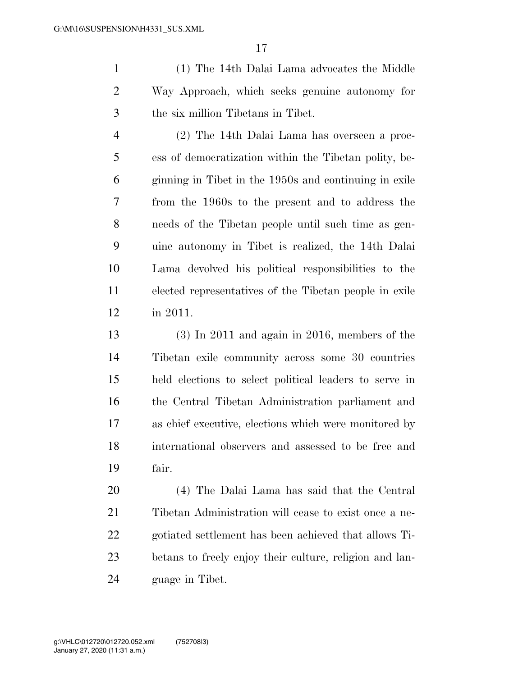(1) The 14th Dalai Lama advocates the Middle Way Approach, which seeks genuine autonomy for the six million Tibetans in Tibet.

 (2) The 14th Dalai Lama has overseen a proc- ess of democratization within the Tibetan polity, be- ginning in Tibet in the 1950s and continuing in exile from the 1960s to the present and to address the needs of the Tibetan people until such time as gen- uine autonomy in Tibet is realized, the 14th Dalai Lama devolved his political responsibilities to the elected representatives of the Tibetan people in exile in 2011.

 (3) In 2011 and again in 2016, members of the Tibetan exile community across some 30 countries held elections to select political leaders to serve in the Central Tibetan Administration parliament and as chief executive, elections which were monitored by international observers and assessed to be free and fair.

 (4) The Dalai Lama has said that the Central Tibetan Administration will cease to exist once a ne- gotiated settlement has been achieved that allows Ti- betans to freely enjoy their culture, religion and lan-guage in Tibet.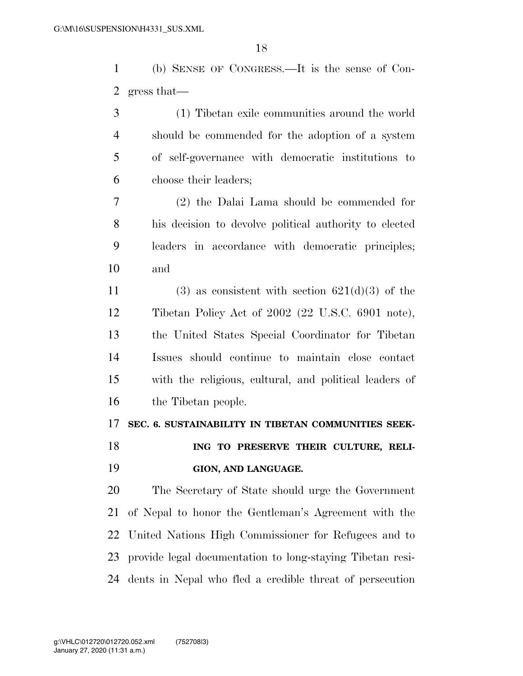(b) SENSE OF CONGRESS.—It is the sense of Con-gress that—

 (1) Tibetan exile communities around the world should be commended for the adoption of a system of self-governance with democratic institutions to choose their leaders;

 (2) the Dalai Lama should be commended for his decision to devolve political authority to elected leaders in accordance with democratic principles; and

11 (3) as consistent with section  $621(d)(3)$  of the Tibetan Policy Act of 2002 (22 U.S.C. 6901 note), the United States Special Coordinator for Tibetan Issues should continue to maintain close contact with the religious, cultural, and political leaders of the Tibetan people.

### **SEC. 6. SUSTAINABILITY IN TIBETAN COMMUNITIES SEEK-**

**ING TO PRESERVE THEIR CULTURE, RELI-GION, AND LANGUAGE.** 

 The Secretary of State should urge the Government of Nepal to honor the Gentleman's Agreement with the United Nations High Commissioner for Refugees and to provide legal documentation to long-staying Tibetan resi-dents in Nepal who fled a credible threat of persecution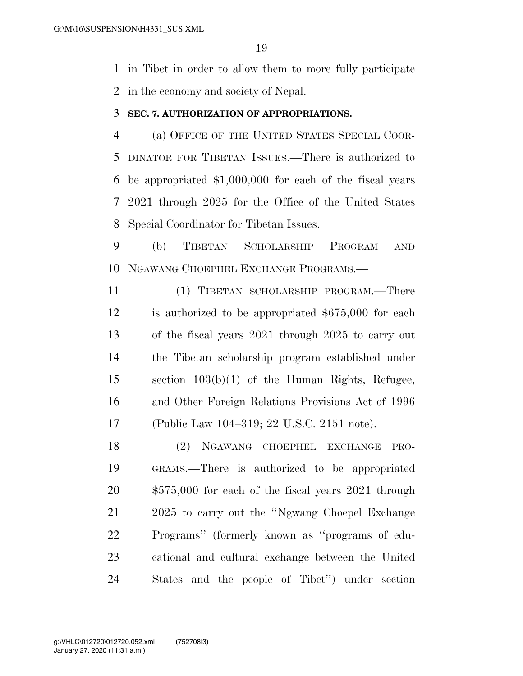in Tibet in order to allow them to more fully participate in the economy and society of Nepal.

### **SEC. 7. AUTHORIZATION OF APPROPRIATIONS.**

 (a) OFFICE OF THE UNITED STATES SPECIAL COOR- DINATOR FOR TIBETAN ISSUES.—There is authorized to be appropriated \$1,000,000 for each of the fiscal years 2021 through 2025 for the Office of the United States Special Coordinator for Tibetan Issues.

 (b) TIBETAN SCHOLARSHIP PROGRAM AND NGAWANG CHOEPHEL EXCHANGE PROGRAMS.—

 (1) TIBETAN SCHOLARSHIP PROGRAM.—There is authorized to be appropriated \$675,000 for each of the fiscal years 2021 through 2025 to carry out the Tibetan scholarship program established under section 103(b)(1) of the Human Rights, Refugee, and Other Foreign Relations Provisions Act of 1996 (Public Law 104–319; 22 U.S.C. 2151 note).

 (2) NGAWANG CHOEPHEL EXCHANGE PRO- GRAMS.—There is authorized to be appropriated \$575,000 for each of the fiscal years 2021 through 2025 to carry out the ''Ngwang Choepel Exchange Programs'' (formerly known as ''programs of edu- cational and cultural exchange between the United States and the people of Tibet'') under section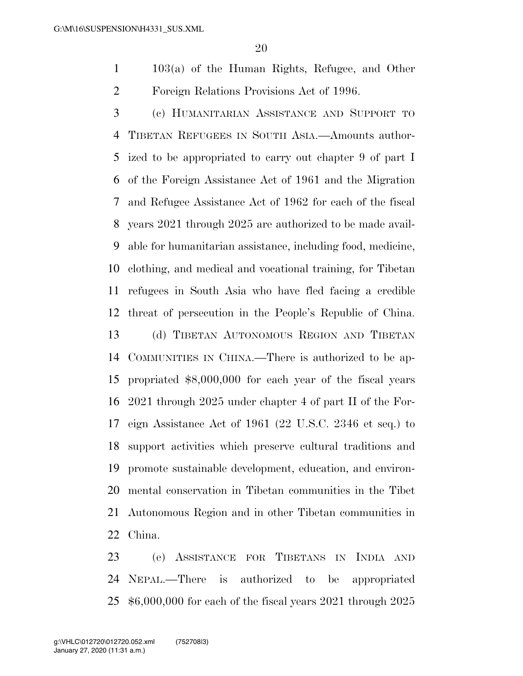103(a) of the Human Rights, Refugee, and Other Foreign Relations Provisions Act of 1996.

 (c) HUMANITARIAN ASSISTANCE AND SUPPORT TO TIBETAN REFUGEES IN SOUTH ASIA.—Amounts author- ized to be appropriated to carry out chapter 9 of part I of the Foreign Assistance Act of 1961 and the Migration and Refugee Assistance Act of 1962 for each of the fiscal years 2021 through 2025 are authorized to be made avail- able for humanitarian assistance, including food, medicine, clothing, and medical and vocational training, for Tibetan refugees in South Asia who have fled facing a credible threat of persecution in the People's Republic of China. (d) TIBETAN AUTONOMOUS REGION AND TIBETAN COMMUNITIES IN CHINA.—There is authorized to be ap- propriated \$8,000,000 for each year of the fiscal years 2021 through 2025 under chapter 4 of part II of the For- eign Assistance Act of 1961 (22 U.S.C. 2346 et seq.) to support activities which preserve cultural traditions and promote sustainable development, education, and environ- mental conservation in Tibetan communities in the Tibet Autonomous Region and in other Tibetan communities in China.

 (e) ASSISTANCE FOR TIBETANS IN INDIA AND NEPAL.—There is authorized to be appropriated \$6,000,000 for each of the fiscal years 2021 through 2025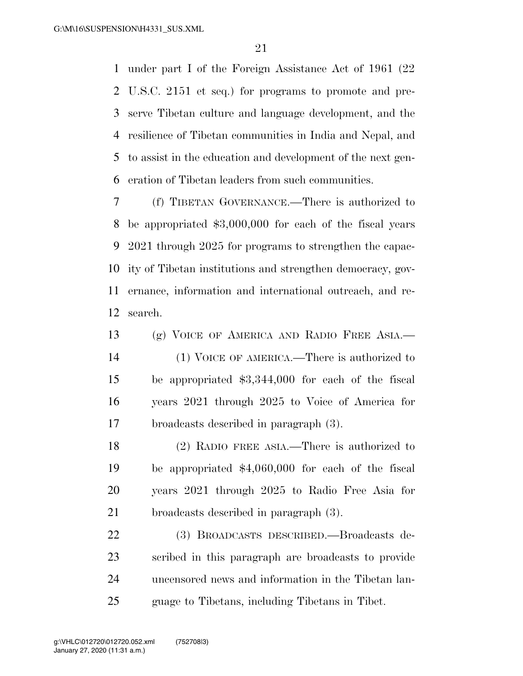under part I of the Foreign Assistance Act of 1961 (22 U.S.C. 2151 et seq.) for programs to promote and pre- serve Tibetan culture and language development, and the resilience of Tibetan communities in India and Nepal, and to assist in the education and development of the next gen-eration of Tibetan leaders from such communities.

 (f) TIBETAN GOVERNANCE.—There is authorized to be appropriated \$3,000,000 for each of the fiscal years 2021 through 2025 for programs to strengthen the capac- ity of Tibetan institutions and strengthen democracy, gov- ernance, information and international outreach, and re-search.

 (g) VOICE OF AMERICA AND RADIO FREE ASIA.— (1) VOICE OF AMERICA.—There is authorized to be appropriated \$3,344,000 for each of the fiscal years 2021 through 2025 to Voice of America for broadcasts described in paragraph (3).

 (2) RADIO FREE ASIA.—There is authorized to be appropriated \$4,060,000 for each of the fiscal years 2021 through 2025 to Radio Free Asia for broadcasts described in paragraph (3).

 (3) BROADCASTS DESCRIBED.—Broadcasts de- scribed in this paragraph are broadcasts to provide uncensored news and information in the Tibetan lan-guage to Tibetans, including Tibetans in Tibet.